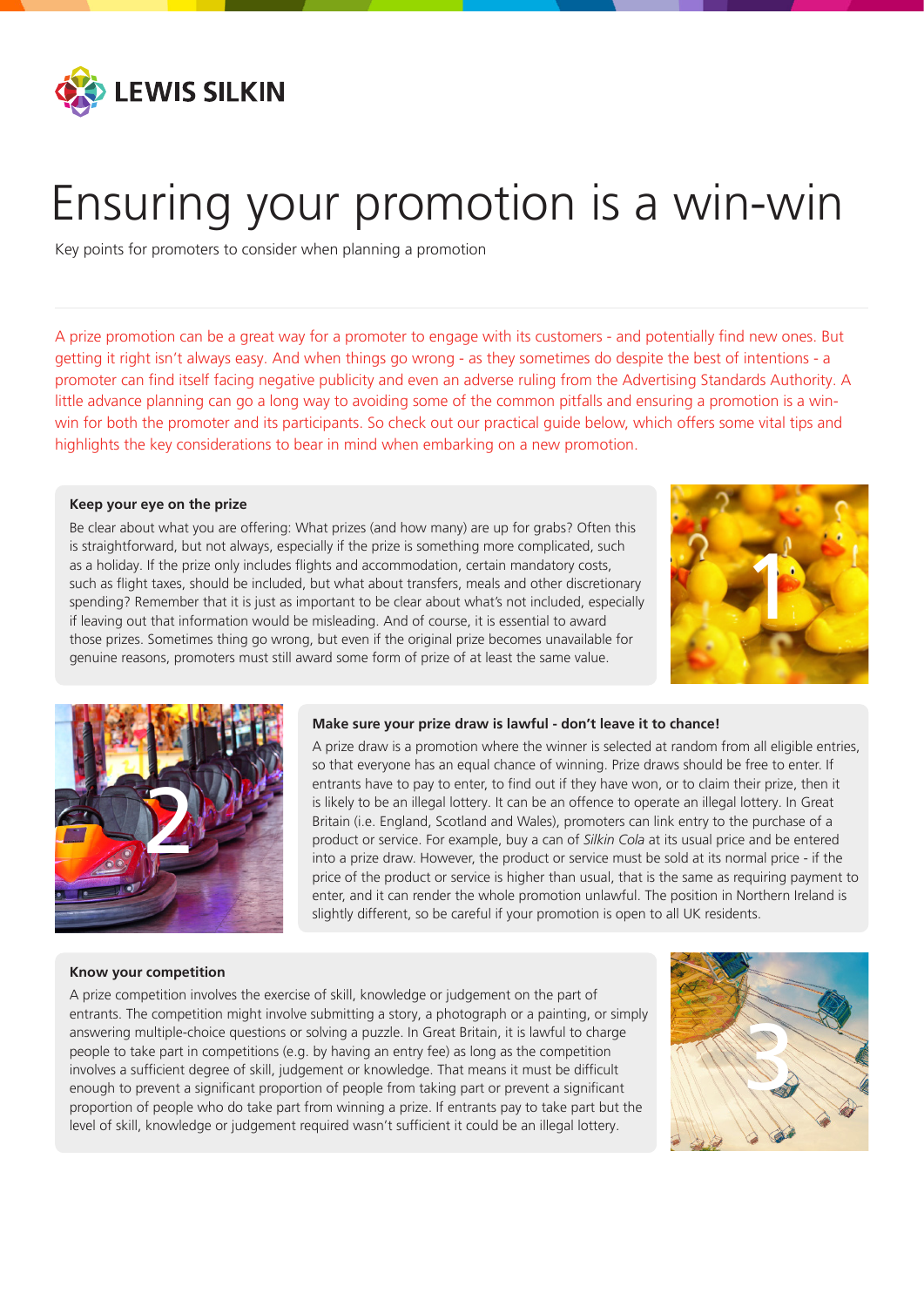

# Ensuring your promotion is a win-win

Key points for promoters to consider when planning a promotion

A prize promotion can be a great way for a promoter to engage with its customers - and potentially find new ones. But getting it right isn't always easy. And when things go wrong - as they sometimes do despite the best of intentions - a promoter can find itself facing negative publicity and even an adverse ruling from the Advertising Standards Authority. A little advance planning can go a long way to avoiding some of the common pitfalls and ensuring a promotion is a winwin for both the promoter and its participants. So check out our practical guide below, which offers some vital tips and highlights the key considerations to bear in mind when embarking on a new promotion.

#### **Keep your eye on the prize**

Be clear about what you are offering: What prizes (and how many) are up for grabs? Often this is straightforward, but not always, especially if the prize is something more complicated, such as a holiday. If the prize only includes flights and accommodation, certain mandatory costs, such as flight taxes, should be included, but what about transfers, meals and other discretionary spending? Remember that it is just as important to be clear about what's not included, especially if leaving out that information would be misleading. And of course, it is essential to award those prizes. Sometimes thing go wrong, but even if the original prize becomes unavailable for genuine reasons, promoters must still award some form of prize of at least the same value.





## **Make sure your prize draw is lawful - don't leave it to chance!**

A prize draw is a promotion where the winner is selected at random from all eligible entries, so that everyone has an equal chance of winning. Prize draws should be free to enter. If entrants have to pay to enter, to find out if they have won, or to claim their prize, then it is likely to be an illegal lottery. It can be an offence to operate an illegal lottery. In Great Britain (i.e. England, Scotland and Wales), promoters can link entry to the purchase of a product or service. For example, buy a can of *Silkin Cola* at its usual price and be entered into a prize draw. However, the product or service must be sold at its normal price - if the price of the product or service is higher than usual, that is the same as requiring payment to enter, and it can render the whole promotion unlawful. The position in Northern Ireland is slightly different, so be careful if your promotion is open to all UK residents.

#### **Know your competition**

A prize competition involves the exercise of skill, knowledge or judgement on the part of entrants. The competition might involve submitting a story, a photograph or a painting, or simply answering multiple-choice questions or solving a puzzle. In Great Britain, it is lawful to charge people to take part in competitions (e.g. by having an entry fee) as long as the competition involves a sufficient degree of skill, judgement or knowledge. That means it must be difficult enough to prevent a significant proportion of people from taking part or prevent a significant proportion of people who do take part from winning a prize. If entrants pay to take part but the level of skill, knowledge or judgement required wasn't sufficient it could be an illegal lottery.

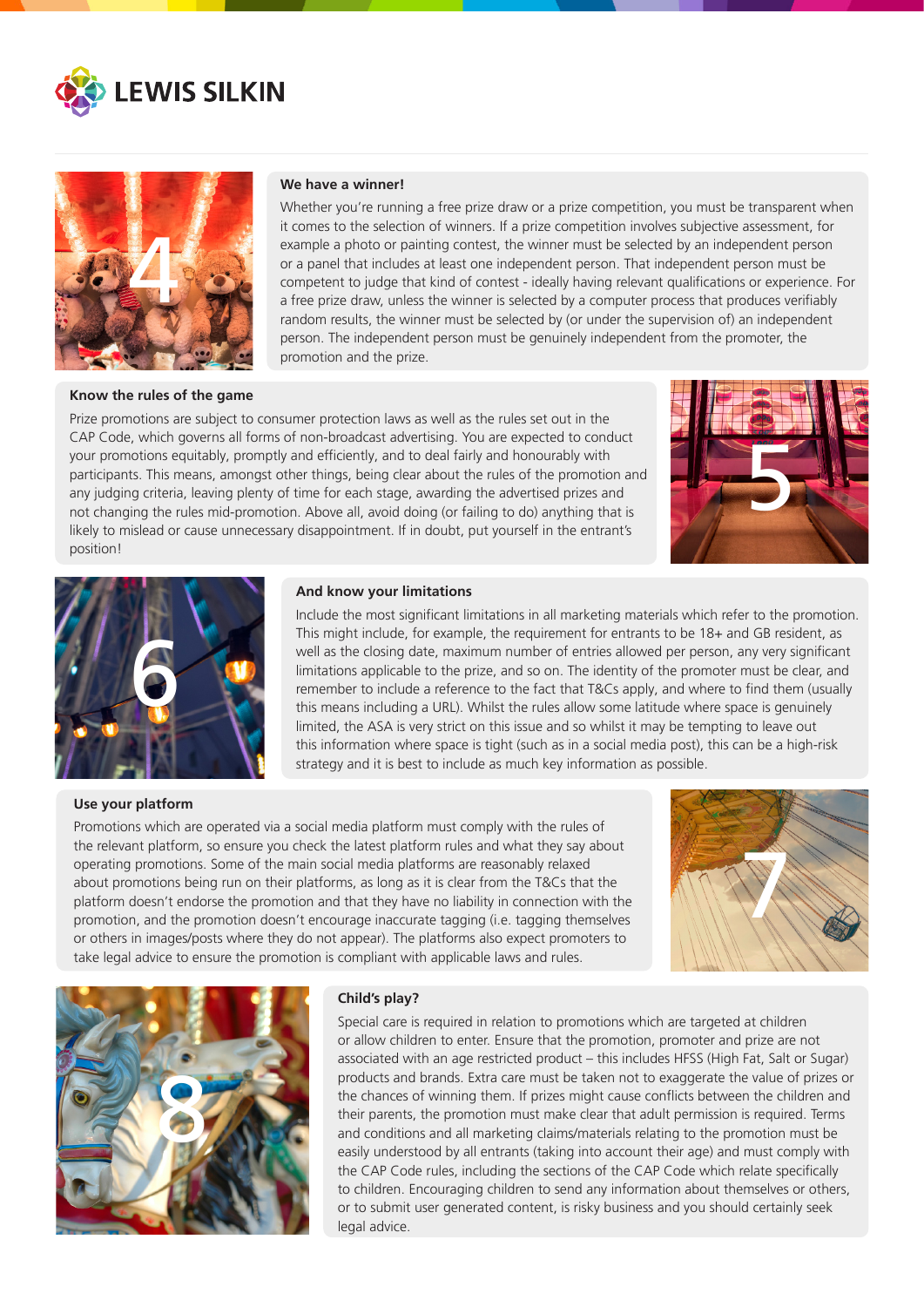



#### **Know the rules of the game**

## **We have a winner!**

Whether you're running a free prize draw or a prize competition, you must be transparent when it comes to the selection of winners. If a prize competition involves subjective assessment, for example a photo or painting contest, the winner must be selected by an independent person or a panel that includes at least one independent person. That independent person must be competent to judge that kind of contest - ideally having relevant qualifications or experience. For a free prize draw, unless the winner is selected by a computer process that produces verifiably random results, the winner must be selected by (or under the supervision of) an independent person. The independent person must be genuinely independent from the promoter, the promotion and the prize.

Prize promotions are subject to consumer protection laws as well as the rules set out in the CAP Code, which governs all forms of non-broadcast advertising. You are expected to conduct your promotions equitably, promptly and efficiently, and to deal fairly and honourably with participants. This means, amongst other things, being clear about the rules of the promotion and any judging criteria, leaving plenty of time for each stage, awarding the advertised prizes and not changing the rules mid-promotion. Above all, avoid doing (or failing to do) anything that is likely to mislead or cause unnecessary disappointment. If in doubt, put yourself in the entrant's position!





#### **Use your platform**

#### **And know your limitations**

Include the most significant limitations in all marketing materials which refer to the promotion. This might include, for example, the requirement for entrants to be 18+ and GB resident, as well as the closing date, maximum number of entries allowed per person, any very significant limitations applicable to the prize, and so on. The identity of the promoter must be clear, and remember to include a reference to the fact that T&Cs apply, and where to find them (usually this means including a URL). Whilst the rules allow some latitude where space is genuinely limited, the ASA is very strict on this issue and so whilst it may be tempting to leave out this information where space is tight (such as in a social media post), this can be a high-risk strategy and it is best to include as much key information as possible.

Promotions which are operated via a social media platform must comply with the rules of the relevant platform, so ensure you check the latest platform rules and what they say about operating promotions. Some of the main social media platforms are reasonably relaxed about promotions being run on their platforms, as long as it is clear from the T&Cs that the platform doesn't endorse the promotion and that they have no liability in connection with the promotion, and the promotion doesn't encourage inaccurate tagging (i.e. tagging themselves or others in images/posts where they do not appear). The platforms also expect promoters to take legal advice to ensure the promotion is compliant with applicable laws and rules.





## **Child's play?**

Special care is required in relation to promotions which are targeted at children or allow children to enter. Ensure that the promotion, promoter and prize are not associated with an age restricted product – this includes HFSS (High Fat, Salt or Sugar) products and brands. Extra care must be taken not to exaggerate the value of prizes or the chances of winning them. If prizes might cause conflicts between the children and their parents, the promotion must make clear that adult permission is required. Terms and conditions and all marketing claims/materials relating to the promotion must be easily understood by all entrants (taking into account their age) and must comply with the CAP Code rules, including the sections of the CAP Code which relate specifically to children. Encouraging children to send any information about themselves or others, or to submit user generated content, is risky business and you should certainly seek legal advice.